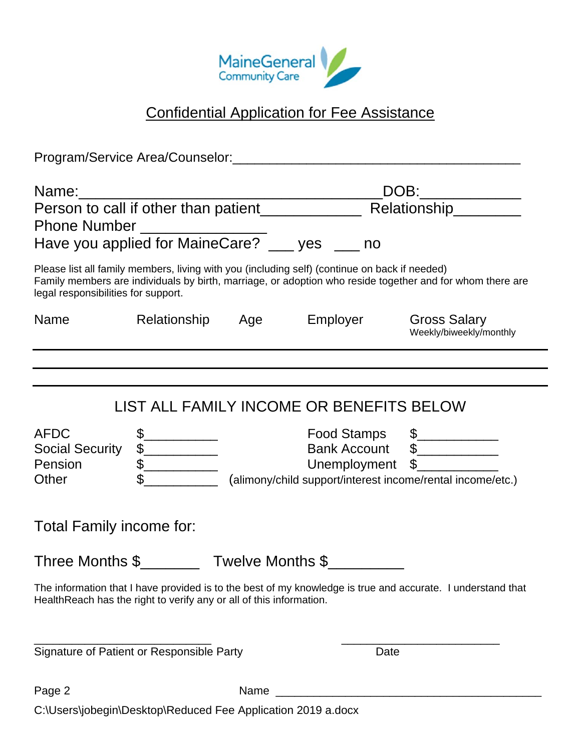

## Confidential Application for Fee Assistance

| Person to call if other than patient____________<br>Phone Number _________________<br>Have you applied for MaineCare? __ yes __ no |  |      | __DOB:_____________<br>Relationship________                                                   |                                                                                                                    |  |
|------------------------------------------------------------------------------------------------------------------------------------|--|------|-----------------------------------------------------------------------------------------------|--------------------------------------------------------------------------------------------------------------------|--|
| legal responsibilities for support.                                                                                                |  |      | Please list all family members, living with you (including self) (continue on back if needed) | Family members are individuals by birth, marriage, or adoption who reside together and for whom there are          |  |
| Name                                                                                                                               |  |      | Relationship Age Employer                                                                     | <b>Gross Salary</b><br>Weekly/biweekly/monthly                                                                     |  |
|                                                                                                                                    |  |      |                                                                                               |                                                                                                                    |  |
| <b>AFDC</b><br><b>Social Security</b><br>Pension<br>Other                                                                          |  |      | LIST ALL FAMILY INCOME OR BENEFITS BELOW                                                      | Food Stamps \$<br>Bank Account \$<br>Unemployment \$<br>(alimony/child support/interest income/rental income/etc.) |  |
| Total Family income for:<br>Three Months \$ Twelve Months \$                                                                       |  |      |                                                                                               |                                                                                                                    |  |
| Health Reach has the right to verify any or all of this information.                                                               |  |      |                                                                                               | The information that I have provided is to the best of my knowledge is true and accurate. I understand that        |  |
| Signature of Patient or Responsible Party                                                                                          |  |      | Date                                                                                          |                                                                                                                    |  |
| Page 2                                                                                                                             |  | Name |                                                                                               |                                                                                                                    |  |
| C:\Users\jobegin\Desktop\Reduced Fee Application 2019 a.docx                                                                       |  |      |                                                                                               |                                                                                                                    |  |